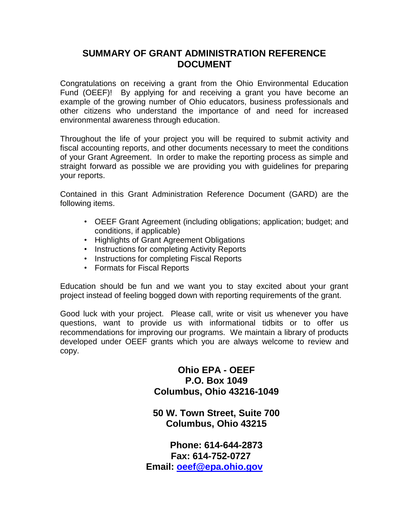### **SUMMARY OF GRANT ADMINISTRATION REFERENCE DOCUMENT**

Congratulations on receiving a grant from the Ohio Environmental Education Fund (OEEF)! By applying for and receiving a grant you have become an example of the growing number of Ohio educators, business professionals and other citizens who understand the importance of and need for increased environmental awareness through education.

Throughout the life of your project you will be required to submit activity and fiscal accounting reports, and other documents necessary to meet the conditions of your Grant Agreement. In order to make the reporting process as simple and straight forward as possible we are providing you with guidelines for preparing your reports.

Contained in this Grant Administration Reference Document (GARD) are the following items.

- OEEF Grant Agreement (including obligations; application; budget; and conditions, if applicable)
- Highlights of Grant Agreement Obligations
- Instructions for completing Activity Reports
- Instructions for completing Fiscal Reports
- Formats for Fiscal Reports

Education should be fun and we want you to stay excited about your grant project instead of feeling bogged down with reporting requirements of the grant.

Good luck with your project. Please call, write or visit us whenever you have questions, want to provide us with informational tidbits or to offer us recommendations for improving our programs. We maintain a library of products developed under OEEF grants which you are always welcome to review and copy.

> **Ohio EPA - OEEF P.O. Box 1049 Columbus, Ohio 43216-1049**

**50 W. Town Street, Suite 700 Columbus, Ohio 43215**

**Phone: 614-644-2873 Fax: 614-752-0727 Email: [oeef@epa.ohio.gov](mailto:oeef@epa.ohio.gov)**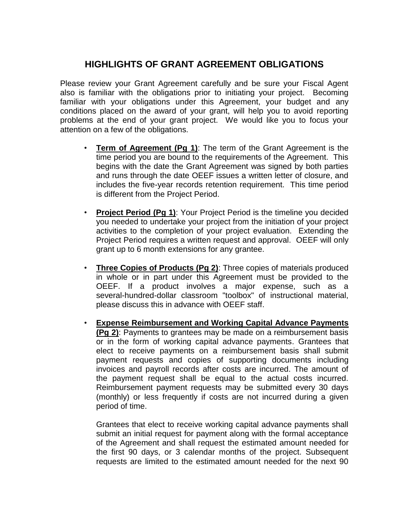## **HIGHLIGHTS OF GRANT AGREEMENT OBLIGATIONS**

Please review your Grant Agreement carefully and be sure your Fiscal Agent also is familiar with the obligations prior to initiating your project. Becoming familiar with your obligations under this Agreement, your budget and any conditions placed on the award of your grant, will help you to avoid reporting problems at the end of your grant project. We would like you to focus your attention on a few of the obligations.

- **Term of Agreement (Pg 1)**: The term of the Grant Agreement is the time period you are bound to the requirements of the Agreement. This begins with the date the Grant Agreement was signed by both parties and runs through the date OEEF issues a written letter of closure, and includes the five-year records retention requirement. This time period is different from the Project Period.
- **Project Period (Pg 1)**: Your Project Period is the timeline you decided you needed to undertake your project from the initiation of your project activities to the completion of your project evaluation. Extending the Project Period requires a written request and approval. OEEF will only grant up to 6 month extensions for any grantee.
- **Three Copies of Products (Pg 2)**: Three copies of materials produced in whole or in part under this Agreement must be provided to the OEEF. If a product involves a major expense, such as a several-hundred-dollar classroom "toolbox" of instructional material, please discuss this in advance with OEEF staff.
- **Expense Reimbursement and Working Capital Advance Payments (Pg 2)**: Payments to grantees may be made on a reimbursement basis or in the form of working capital advance payments. Grantees that elect to receive payments on a reimbursement basis shall submit payment requests and copies of supporting documents including invoices and payroll records after costs are incurred. The amount of the payment request shall be equal to the actual costs incurred. Reimbursement payment requests may be submitted every 30 days (monthly) or less frequently if costs are not incurred during a given period of time.

Grantees that elect to receive working capital advance payments shall submit an initial request for payment along with the formal acceptance of the Agreement and shall request the estimated amount needed for the first 90 days, or 3 calendar months of the project. Subsequent requests are limited to the estimated amount needed for the next 90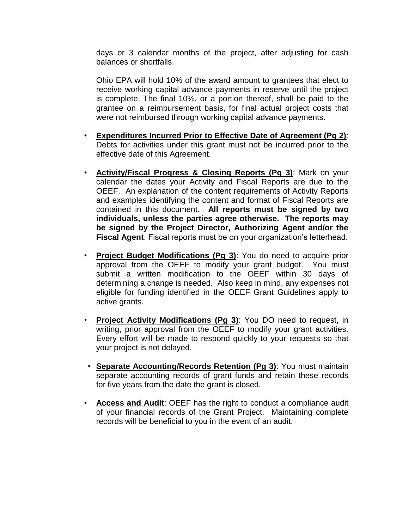days or 3 calendar months of the project, after adjusting for cash balances or shortfalls.

Ohio EPA will hold 10% of the award amount to grantees that elect to receive working capital advance payments in reserve until the project is complete. The final 10%, or a portion thereof, shall be paid to the grantee on a reimbursement basis, for final actual project costs that were not reimbursed through working capital advance payments.

- **Expenditures Incurred Prior to Effective Date of Agreement (Pg 2)**: Debts for activities under this grant must not be incurred prior to the effective date of this Agreement.
- **Activity/Fiscal Progress & Closing Reports (Pg 3)**: Mark on your calendar the dates your Activity and Fiscal Reports are due to the OEEF. An explanation of the content requirements of Activity Reports and examples identifying the content and format of Fiscal Reports are contained in this document. **All reports must be signed by two individuals, unless the parties agree otherwise. The reports may be signed by the Project Director, Authorizing Agent and/or the Fiscal Agent**. Fiscal reports must be on your organization's letterhead.
- **Project Budget Modifications (Pg 3)**: You do need to acquire prior approval from the OEEF to modify your grant budget. You must submit a written modification to the OEEF within 30 days of determining a change is needed. Also keep in mind, any expenses not eligible for funding identified in the OEEF Grant Guidelines apply to active grants.
- **Project Activity Modifications (Pg 3)**: You DO need to request, in writing, prior approval from the OEEF to modify your grant activities. Every effort will be made to respond quickly to your requests so that your project is not delayed.
- **Separate Accounting/Records Retention (Pg 3)**: You must maintain separate accounting records of grant funds and retain these records for five years from the date the grant is closed.
- **Access and Audit**: OEEF has the right to conduct a compliance audit of your financial records of the Grant Project. Maintaining complete records will be beneficial to you in the event of an audit.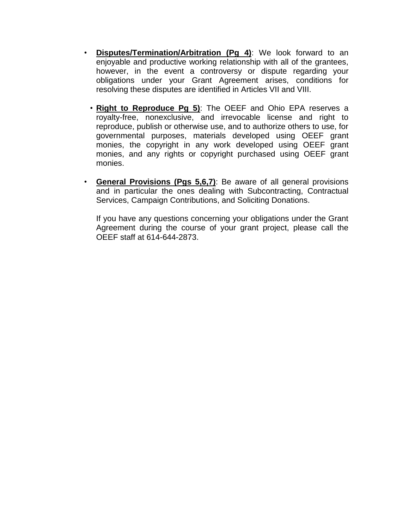- **Disputes/Termination/Arbitration (Pg 4)**: We look forward to an enjoyable and productive working relationship with all of the grantees, however, in the event a controversy or dispute regarding your obligations under your Grant Agreement arises, conditions for resolving these disputes are identified in Articles VII and VIII.
	- **Right to Reproduce Pg 5)**: The OEEF and Ohio EPA reserves a royalty-free, nonexclusive, and irrevocable license and right to reproduce, publish or otherwise use, and to authorize others to use, for governmental purposes, materials developed using OEEF grant monies, the copyright in any work developed using OEEF grant monies, and any rights or copyright purchased using OEEF grant monies.
- **General Provisions (Pgs 5,6,7)**: Be aware of all general provisions and in particular the ones dealing with Subcontracting, Contractual Services, Campaign Contributions, and Soliciting Donations.

If you have any questions concerning your obligations under the Grant Agreement during the course of your grant project, please call the OEEF staff at 614-644-2873.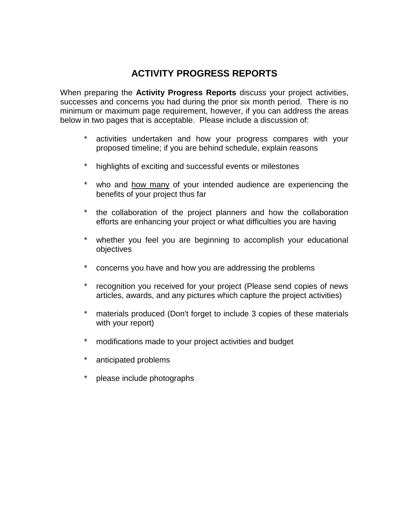# **ACTIVITY PROGRESS REPORTS**

When preparing the **Activity Progress Reports** discuss your project activities, successes and concerns you had during the prior six month period. There is no minimum or maximum page requirement, however, if you can address the areas below in two pages that is acceptable. Please include a discussion of:

- activities undertaken and how your progress compares with your proposed timeline; if you are behind schedule, explain reasons
- \* highlights of exciting and successful events or milestones
- who and how many of your intended audience are experiencing the benefits of your project thus far
- the collaboration of the project planners and how the collaboration efforts are enhancing your project or what difficulties you are having
- \* whether you feel you are beginning to accomplish your educational objectives
- concerns you have and how you are addressing the problems
- \* recognition you received for your project (Please send copies of news articles, awards, and any pictures which capture the project activities)
- materials produced (Don't forget to include 3 copies of these materials with your report)
- \* modifications made to your project activities and budget
- \* anticipated problems
- please include photographs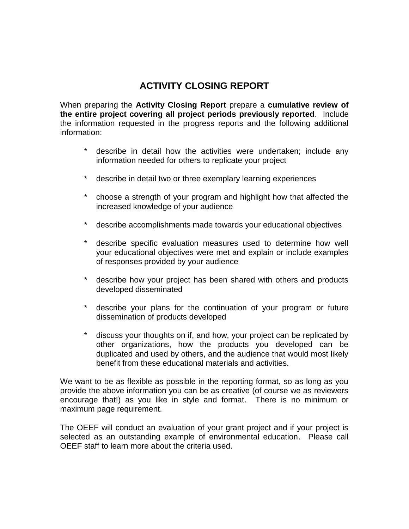# **ACTIVITY CLOSING REPORT**

When preparing the **Activity Closing Report** prepare a **cumulative review of the entire project covering all project periods previously reported**. Include the information requested in the progress reports and the following additional information:

- describe in detail how the activities were undertaken; include any information needed for others to replicate your project
- \* describe in detail two or three exemplary learning experiences
- \* choose a strength of your program and highlight how that affected the increased knowledge of your audience
- \* describe accomplishments made towards your educational objectives
- \* describe specific evaluation measures used to determine how well your educational objectives were met and explain or include examples of responses provided by your audience
- describe how your project has been shared with others and products developed disseminated
- \* describe your plans for the continuation of your program or future dissemination of products developed
- \* discuss your thoughts on if, and how, your project can be replicated by other organizations, how the products you developed can be duplicated and used by others, and the audience that would most likely benefit from these educational materials and activities.

We want to be as flexible as possible in the reporting format, so as long as you provide the above information you can be as creative (of course we as reviewers encourage that!) as you like in style and format. There is no minimum or maximum page requirement.

The OEEF will conduct an evaluation of your grant project and if your project is selected as an outstanding example of environmental education. Please call OEEF staff to learn more about the criteria used.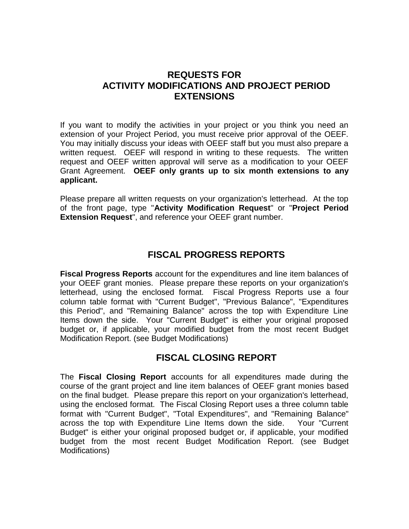### **REQUESTS FOR ACTIVITY MODIFICATIONS AND PROJECT PERIOD EXTENSIONS**

If you want to modify the activities in your project or you think you need an extension of your Project Period, you must receive prior approval of the OEEF. You may initially discuss your ideas with OEEF staff but you must also prepare a written request. OEEF will respond in writing to these requests. The written request and OEEF written approval will serve as a modification to your OEEF Grant Agreement. **OEEF only grants up to six month extensions to any applicant.** 

Please prepare all written requests on your organization's letterhead. At the top of the front page, type "**Activity Modification Request**" or "**Project Period Extension Request**", and reference your OEEF grant number.

# **FISCAL PROGRESS REPORTS**

**Fiscal Progress Reports** account for the expenditures and line item balances of your OEEF grant monies. Please prepare these reports on your organization's letterhead, using the enclosed format. Fiscal Progress Reports use a four column table format with "Current Budget", "Previous Balance", "Expenditures this Period", and "Remaining Balance" across the top with Expenditure Line Items down the side. Your "Current Budget" is either your original proposed budget or, if applicable, your modified budget from the most recent Budget Modification Report. (see Budget Modifications)

## **FISCAL CLOSING REPORT**

The **Fiscal Closing Report** accounts for all expenditures made during the course of the grant project and line item balances of OEEF grant monies based on the final budget. Please prepare this report on your organization's letterhead, using the enclosed format. The Fiscal Closing Report uses a three column table format with "Current Budget", "Total Expenditures", and "Remaining Balance" across the top with Expenditure Line Items down the side. Your "Current Budget" is either your original proposed budget or, if applicable, your modified budget from the most recent Budget Modification Report. (see Budget Modifications)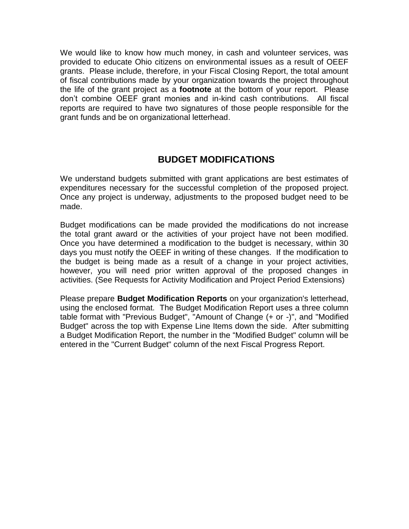We would like to know how much money, in cash and volunteer services, was provided to educate Ohio citizens on environmental issues as a result of OEEF grants. Please include, therefore, in your Fiscal Closing Report, the total amount of fiscal contributions made by your organization towards the project throughout the life of the grant project as a **footnote** at the bottom of your report. Please don't combine OEEF grant monies and in-kind cash contributions. All fiscal reports are required to have two signatures of those people responsible for the grant funds and be on organizational letterhead.

## **BUDGET MODIFICATIONS**

We understand budgets submitted with grant applications are best estimates of expenditures necessary for the successful completion of the proposed project. Once any project is underway, adjustments to the proposed budget need to be made.

Budget modifications can be made provided the modifications do not increase the total grant award or the activities of your project have not been modified. Once you have determined a modification to the budget is necessary, within 30 days you must notify the OEEF in writing of these changes. If the modification to the budget is being made as a result of a change in your project activities, however, you will need prior written approval of the proposed changes in activities. (See Requests for Activity Modification and Project Period Extensions)

Please prepare **Budget Modification Reports** on your organization's letterhead, using the enclosed format. The Budget Modification Report uses a three column table format with "Previous Budget", "Amount of Change (+ or -)", and "Modified Budget" across the top with Expense Line Items down the side. After submitting a Budget Modification Report, the number in the "Modified Budget" column will be entered in the "Current Budget" column of the next Fiscal Progress Report.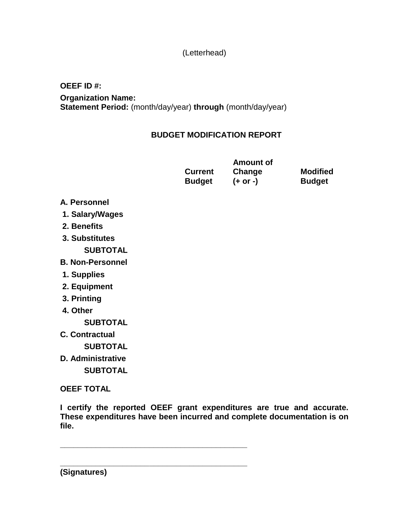### (Letterhead)

#### **OEEF ID #:**

**Organization Name: Statement Period:** (month/day/year) **through** (month/day/year)

### **BUDGET MODIFICATION REPORT**

|                | <b>Amount of</b> |                 |
|----------------|------------------|-----------------|
| <b>Current</b> | Change           | <b>Modified</b> |
| <b>Budget</b>  | $(+ or -)$       | <b>Budget</b>   |

#### **A. Personnel**

- **1. Salary/Wages**
- **2. Benefits**
- **3. Substitutes SUBTOTAL**
- **B. Non-Personnel**
- **1. Supplies**
- **2. Equipment**
- **3. Printing**
- **4. Other**

**SUBTOTAL**

**C. Contractual**

**SUBTOTAL**

**D. Administrative SUBTOTAL**

**OEEF TOTAL**

**I certify the reported OEEF grant expenditures are true and accurate. These expenditures have been incurred and complete documentation is on file.** 

**\_\_\_\_\_\_\_\_\_\_\_\_\_\_\_\_\_\_\_\_\_\_\_\_\_\_\_\_\_\_\_\_\_\_\_\_\_\_\_\_\_\_**

**\_\_\_\_\_\_\_\_\_\_\_\_\_\_\_\_\_\_\_\_\_\_\_\_\_\_\_\_\_\_\_\_\_\_\_\_\_\_\_\_\_\_**

**(Signatures)**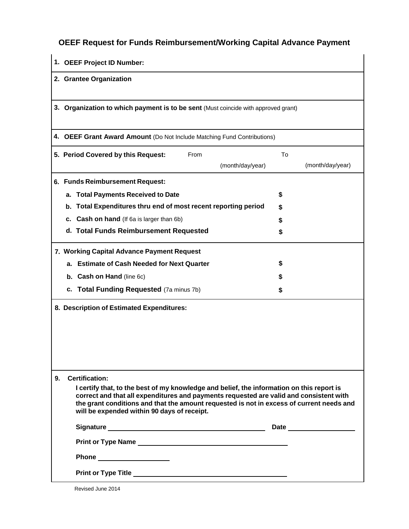# **OEEF Request for Funds Reimbursement/Working Capital Advance Payment**

| 1. OEEF Project ID Number:                                                                                                                                                                                                                                                                                                     |                        |  |  |  |
|--------------------------------------------------------------------------------------------------------------------------------------------------------------------------------------------------------------------------------------------------------------------------------------------------------------------------------|------------------------|--|--|--|
| 2. Grantee Organization                                                                                                                                                                                                                                                                                                        |                        |  |  |  |
| 3. Organization to which payment is to be sent (Must coincide with approved grant)                                                                                                                                                                                                                                             |                        |  |  |  |
| 4. OEEF Grant Award Amount (Do Not Include Matching Fund Contributions)                                                                                                                                                                                                                                                        |                        |  |  |  |
| From<br>5. Period Covered by this Request:<br>(month/day/year)                                                                                                                                                                                                                                                                 | To<br>(month/day/year) |  |  |  |
| 6. Funds Reimbursement Request:                                                                                                                                                                                                                                                                                                |                        |  |  |  |
| <b>Total Payments Received to Date</b><br>а.                                                                                                                                                                                                                                                                                   | \$                     |  |  |  |
| Total Expenditures thru end of most recent reporting period<br>b.                                                                                                                                                                                                                                                              | S                      |  |  |  |
| c. Cash on hand (If 6a is larger than 6b)                                                                                                                                                                                                                                                                                      | \$                     |  |  |  |
| d. Total Funds Reimbursement Requested                                                                                                                                                                                                                                                                                         | \$                     |  |  |  |
| 7. Working Capital Advance Payment Request                                                                                                                                                                                                                                                                                     |                        |  |  |  |
| <b>Estimate of Cash Needed for Next Quarter</b><br>а.                                                                                                                                                                                                                                                                          | S                      |  |  |  |
| <b>b.</b> Cash on Hand (line 6c)                                                                                                                                                                                                                                                                                               |                        |  |  |  |
| <b>Total Funding Requested</b> (7a minus 7b)<br>c.                                                                                                                                                                                                                                                                             | S                      |  |  |  |
| 8. Description of Estimated Expenditures:                                                                                                                                                                                                                                                                                      |                        |  |  |  |
| <b>Certification:</b><br>9.                                                                                                                                                                                                                                                                                                    |                        |  |  |  |
| I certify that, to the best of my knowledge and belief, the information on this report is<br>correct and that all expenditures and payments requested are valid and consistent with<br>the grant conditions and that the amount requested is not in excess of current needs and<br>will be expended within 90 days of receipt. |                        |  |  |  |
|                                                                                                                                                                                                                                                                                                                                |                        |  |  |  |
|                                                                                                                                                                                                                                                                                                                                |                        |  |  |  |
|                                                                                                                                                                                                                                                                                                                                |                        |  |  |  |
|                                                                                                                                                                                                                                                                                                                                |                        |  |  |  |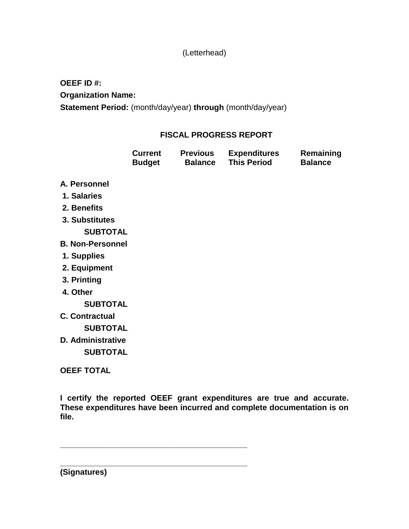### (Letterhead)

**OEEF ID #: Organization Name:**

**Statement Period:** (month/day/year) **through** (month/day/year)

### **FISCAL PROGRESS REPORT**

| <b>Current</b> | <b>Previous</b> | <b>Expenditures</b> | Remaining      |
|----------------|-----------------|---------------------|----------------|
| <b>Budget</b>  | <b>Balance</b>  | <b>This Period</b>  | <b>Balance</b> |

- **A. Personnel**
- **1. Salaries**
- **2. Benefits**
- **3. Substitutes**

**SUBTOTAL**

- **B. Non-Personnel**
- **1. Supplies**
- **2. Equipment**
- **3. Printing**
- **4. Other**

**SUBTOTAL**

**C. Contractual**

**SUBTOTAL**

**D. Administrative SUBTOTAL**

**OEEF TOTAL**

**I certify the reported OEEF grant expenditures are true and accurate. These expenditures have been incurred and complete documentation is on file.** 

**\_\_\_\_\_\_\_\_\_\_\_\_\_\_\_\_\_\_\_\_\_\_\_\_\_\_\_\_\_\_\_\_\_\_\_\_\_\_\_\_\_\_**

**\_\_\_\_\_\_\_\_\_\_\_\_\_\_\_\_\_\_\_\_\_\_\_\_\_\_\_\_\_\_\_\_\_\_\_\_\_\_\_\_\_\_**

**(Signatures)**